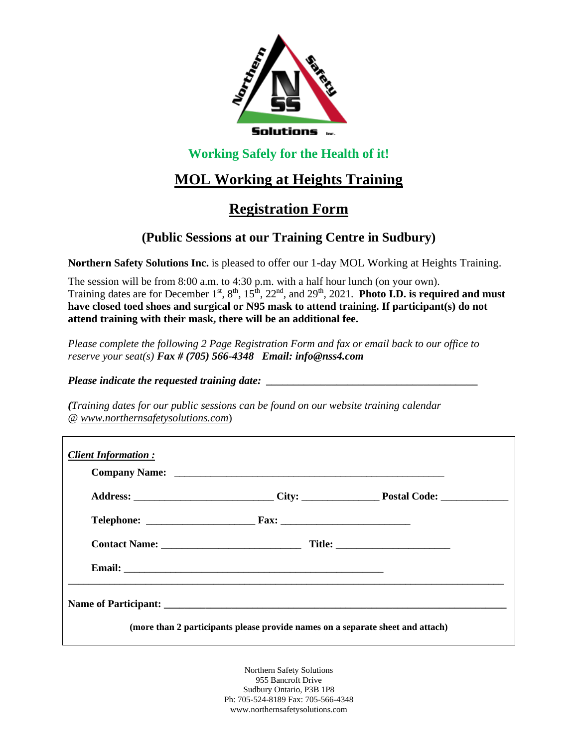

## **Working Safely for the Health of it!**

# **MOL Working at Heights Training**

# **Registration Form**

## **(Public Sessions at our Training Centre in Sudbury)**

**Northern Safety Solutions Inc.** is pleased to offer our 1-day MOL Working at Heights Training.

The session will be from 8:00 a.m. to 4:30 p.m. with a half hour lunch (on your own). Training dates are for December  $1^{st}$ ,  $8^{th}$ ,  $15^{th}$ ,  $22^{nd}$ , and  $29^{th}$ ,  $2021$ . **Photo I.D. is required and must have closed toed shoes and surgical or N95 mask to attend training. If participant(s) do not attend training with their mask, there will be an additional fee.** 

*Please complete the following 2 Page Registration Form and fax or email back to our office to reserve your seat(s) Fax # (705) 566-4348 Email: info@nss4.com*

*Please indicate the requested training date:* 

*(Training dates for our public sessions can be found on our website training calendar @ www.northernsafetysolutions.com*)

| <b>Client Information:</b> |                                                                                |  |
|----------------------------|--------------------------------------------------------------------------------|--|
|                            |                                                                                |  |
|                            |                                                                                |  |
|                            |                                                                                |  |
|                            |                                                                                |  |
|                            |                                                                                |  |
|                            | (more than 2 participants please provide names on a separate sheet and attach) |  |

Northern Safety Solutions 955 Bancroft Drive Sudbury Ontario, P3B 1P8 Ph: 705-524-8189 Fax: 705-566-4348 www.northernsafetysolutions.com